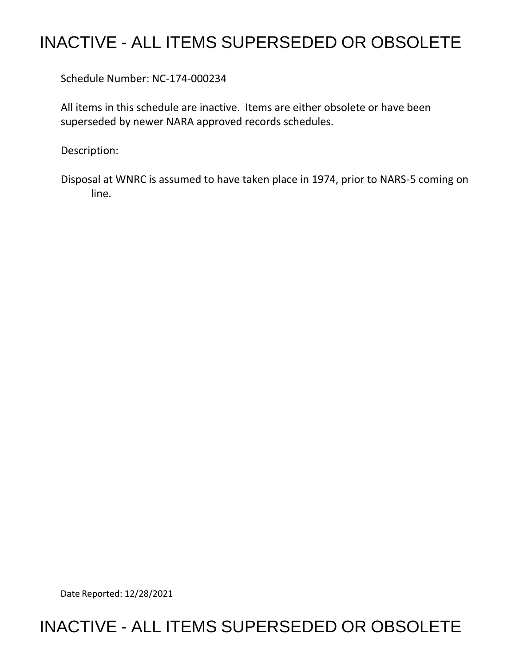## INACTIVE - ALL ITEMS SUPERSEDED OR OBSOLETE

Schedule Number: NC-174-000234

 All items in this schedule are inactive. Items are either obsolete or have been superseded by newer NARA approved records schedules.

Description:

 Disposal at WNRC is assumed to have taken place in 1974, prior to NARS-5 coming on line.

Date Reported: 12/28/2021

## INACTIVE - ALL ITEMS SUPERSEDED OR OBSOLETE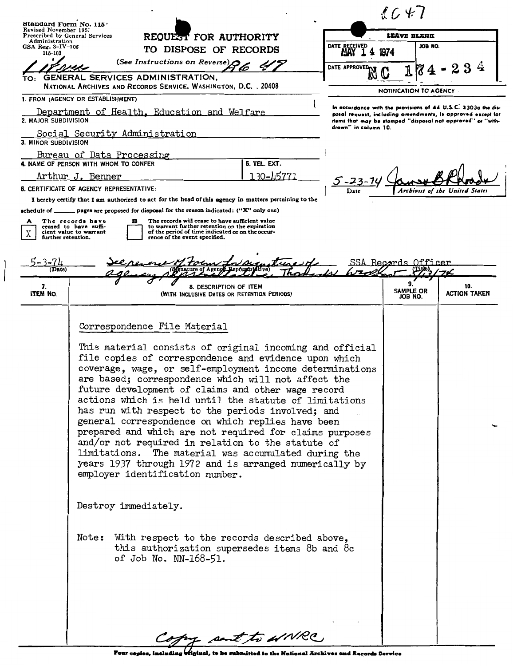| Standard Form No. 115'<br>Revised November 1951                           |                                                                                                                                                                                                                                                                                                                                                                                                                                                                                                                                                                                                                                                                                                                                                                                                                                                                                                                                                   |                       |                                                                                                                                                                                                                      | $\ell \in \mathcal{F}$                  |                                |  |
|---------------------------------------------------------------------------|---------------------------------------------------------------------------------------------------------------------------------------------------------------------------------------------------------------------------------------------------------------------------------------------------------------------------------------------------------------------------------------------------------------------------------------------------------------------------------------------------------------------------------------------------------------------------------------------------------------------------------------------------------------------------------------------------------------------------------------------------------------------------------------------------------------------------------------------------------------------------------------------------------------------------------------------------|-----------------------|----------------------------------------------------------------------------------------------------------------------------------------------------------------------------------------------------------------------|-----------------------------------------|--------------------------------|--|
|                                                                           |                                                                                                                                                                                                                                                                                                                                                                                                                                                                                                                                                                                                                                                                                                                                                                                                                                                                                                                                                   |                       |                                                                                                                                                                                                                      |                                         |                                |  |
| Administration<br>GSA Reg. 3-IV-106                                       | <b>Prescribed by General Services</b>                                                                                                                                                                                                                                                                                                                                                                                                                                                                                                                                                                                                                                                                                                                                                                                                                                                                                                             | REQUEST FOR AUTHORITY |                                                                                                                                                                                                                      | LEAVE BLANK<br>JOB NO.<br>DATE RECEIVED |                                |  |
| 115-103                                                                   | TO DISPOSE OF RECORDS                                                                                                                                                                                                                                                                                                                                                                                                                                                                                                                                                                                                                                                                                                                                                                                                                                                                                                                             |                       |                                                                                                                                                                                                                      | 1974                                    |                                |  |
|                                                                           | (See Instructions on Reverse)                                                                                                                                                                                                                                                                                                                                                                                                                                                                                                                                                                                                                                                                                                                                                                                                                                                                                                                     |                       | DATE APPROVED <sub>IN</sub>                                                                                                                                                                                          |                                         |                                |  |
|                                                                           | <b>GENERAL SERVICES ADMINISTRATION,</b><br>NATIONAL ARCHIVES AND RECORDS SERVICE, WASHINGTON, D.C. . 20408                                                                                                                                                                                                                                                                                                                                                                                                                                                                                                                                                                                                                                                                                                                                                                                                                                        |                       |                                                                                                                                                                                                                      |                                         |                                |  |
|                                                                           | 1. FROM (AGENCY OR ESTABLISHMENT)                                                                                                                                                                                                                                                                                                                                                                                                                                                                                                                                                                                                                                                                                                                                                                                                                                                                                                                 |                       |                                                                                                                                                                                                                      | NOTIFICATION TO AGENCY                  |                                |  |
| 2. MAJOR SUBDIVISION                                                      | Department of Health, Education and Welfare                                                                                                                                                                                                                                                                                                                                                                                                                                                                                                                                                                                                                                                                                                                                                                                                                                                                                                       |                       | In accordance with the provisions of 44 U.S.C. 3303a the dis-<br>posal request, including amendments, is approved except for<br>items that may be stamped "disposal not approved" or "with-<br>drown'' in column 10. |                                         |                                |  |
| 3. MINOR SUBDIVISION                                                      | Social Security Administration                                                                                                                                                                                                                                                                                                                                                                                                                                                                                                                                                                                                                                                                                                                                                                                                                                                                                                                    |                       |                                                                                                                                                                                                                      |                                         |                                |  |
|                                                                           | Bureau of Data Processing                                                                                                                                                                                                                                                                                                                                                                                                                                                                                                                                                                                                                                                                                                                                                                                                                                                                                                                         |                       |                                                                                                                                                                                                                      |                                         |                                |  |
|                                                                           | 4. NAME OF PERSON WITH WHOM TO CONFER                                                                                                                                                                                                                                                                                                                                                                                                                                                                                                                                                                                                                                                                                                                                                                                                                                                                                                             | 5. TEL. EXT.          |                                                                                                                                                                                                                      |                                         |                                |  |
| 130-45771<br>Arthur J. Benner<br>6. CERTIFICATE OF AGENCY REPRESENTATIVE: |                                                                                                                                                                                                                                                                                                                                                                                                                                                                                                                                                                                                                                                                                                                                                                                                                                                                                                                                                   |                       |                                                                                                                                                                                                                      |                                         |                                |  |
|                                                                           | I hereby certify that I am authorized to act for the head of this agency in matters pertaining to the                                                                                                                                                                                                                                                                                                                                                                                                                                                                                                                                                                                                                                                                                                                                                                                                                                             |                       | Date                                                                                                                                                                                                                 |                                         | Archivist of the United States |  |
| А<br>χ<br>further retention.<br>-3-74                                     | The records will cease to have sufficient value<br>The records have<br>в<br>to warrant further retention on the expiration<br>ceased to have suffi-<br>of the period of time indicated or on the occur-<br>cient value to warrant<br>rence of the event specified.                                                                                                                                                                                                                                                                                                                                                                                                                                                                                                                                                                                                                                                                                |                       |                                                                                                                                                                                                                      | SSA Records Officer                     |                                |  |
| (Date)                                                                    |                                                                                                                                                                                                                                                                                                                                                                                                                                                                                                                                                                                                                                                                                                                                                                                                                                                                                                                                                   |                       |                                                                                                                                                                                                                      | $\mathcal{L}$                           |                                |  |
| 7.<br><b>ITEM NO.</b>                                                     | 8. DESCRIPTION OF ITEM<br>(WITH INCLUSIVE DATES OR RETENTION PERIODS)                                                                                                                                                                                                                                                                                                                                                                                                                                                                                                                                                                                                                                                                                                                                                                                                                                                                             |                       |                                                                                                                                                                                                                      | 9.<br>SAMPLE OR<br>JOB NO.              | 10.<br><b>ACTION TAKEN</b>     |  |
|                                                                           | Correspondence File Material<br>This material consists of original incoming and official<br>file copies of correspondence and evidence upon which<br>coverage, wage, or self-employment income determinations<br>are based; correspondence which will not affect the<br>future development of claims and other wage record<br>actions which is held until the statute of limitations<br>has run with respect to the periods involved; and<br>general correspondence on which replies have been<br>prepared and which are not required for claims purposes<br>and/or not required in relation to the statute of<br>limitations. The material was accumulated during the<br>years 1937 through 1972 and is arranged numerically by<br>employer identification number.<br>Destroy immediately.<br>Note: With respect to the records described above,<br>this authorization supersedes items 8b and 8c<br>of Job No. NN-168-51.<br>Copy part to WNRC. |                       |                                                                                                                                                                                                                      |                                         |                                |  |

 $\begin{matrix} \phantom{-} \end{matrix}$ 

Four copies, including *injunal*, to be submitted to the National Archives and Records Service